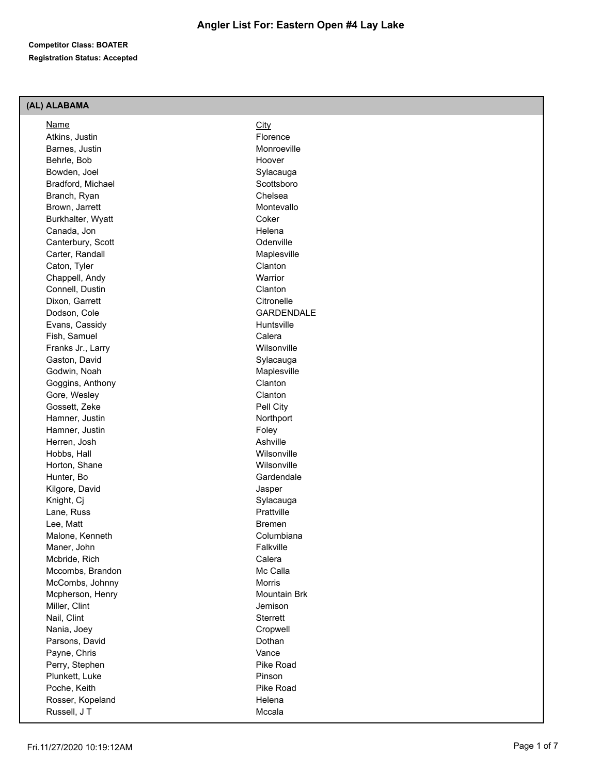## **Competitor Class: BOATER Registration Status: Accepted**

# **(AL) ALABAMA**

| Name              | City              |
|-------------------|-------------------|
| Atkins, Justin    | Florence          |
| Barnes, Justin    | Monroeville       |
| Behrle, Bob       | Hoover            |
| Bowden, Joel      | Sylacauga         |
| Bradford, Michael | Scottsboro        |
| Branch, Ryan      | Chelsea           |
| Brown, Jarrett    | Montevallo        |
| Burkhalter, Wyatt | Coker             |
| Canada, Jon       | Helena            |
| Canterbury, Scott | Odenville         |
| Carter, Randall   | Maplesville       |
| Caton, Tyler      | Clanton           |
| Chappell, Andy    | Warrior           |
| Connell, Dustin   | Clanton           |
| Dixon, Garrett    | Citronelle        |
| Dodson, Cole      | <b>GARDENDALE</b> |
| Evans, Cassidy    | Huntsville        |
| Fish, Samuel      | Calera            |
| Franks Jr., Larry | Wilsonville       |
| Gaston, David     | Sylacauga         |
| Godwin, Noah      | Maplesville       |
| Goggins, Anthony  | Clanton           |
| Gore, Wesley      | Clanton           |
| Gossett, Zeke     | Pell City         |
| Hamner, Justin    | Northport         |
| Hamner, Justin    | Foley             |
| Herren, Josh      | Ashville          |
| Hobbs, Hall       | Wilsonville       |
| Horton, Shane     | Wilsonville       |
| Hunter, Bo        | Gardendale        |
| Kilgore, David    | Jasper            |
| Knight, Cj        | Sylacauga         |
| Lane, Russ        | Prattville        |
| Lee, Matt         | <b>Bremen</b>     |
| Malone, Kenneth   | Columbiana        |
| Maner, John       | Falkville         |
| Mcbride, Rich     | Calera            |
| Mccombs, Brandon  | Mc Calla          |
| McCombs, Johnny   | Morris            |
| Mcpherson, Henry  | Mountain Brk      |
| Miller, Clint     | Jemison           |
| Nail, Clint       | Sterrett          |
| Nania, Joey       | Cropwell          |
| Parsons, David    | Dothan            |
| Payne, Chris      | Vance             |
| Perry, Stephen    | Pike Road         |
| Plunkett, Luke    | Pinson            |
| Poche, Keith      | Pike Road         |
| Rosser, Kopeland  | Helena            |
| Russell, JT       | Mccala            |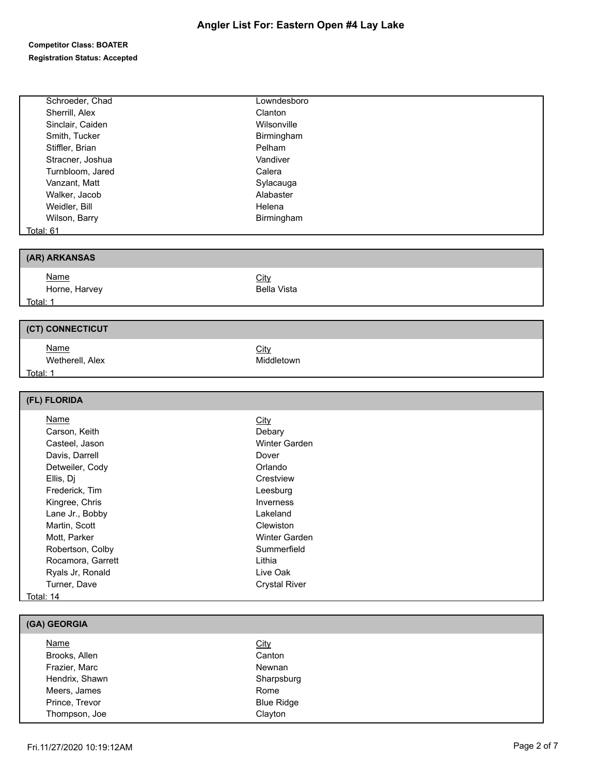## **Competitor Class: BOATER Registration Status: Accepted**

| Schroeder, Chad   | Lowndesboro          |
|-------------------|----------------------|
| Sherrill, Alex    | Clanton              |
| Sinclair, Caiden  | Wilsonville          |
| Smith, Tucker     | Birmingham           |
| Stiffler, Brian   | Pelham               |
| Stracner, Joshua  | Vandiver             |
| Turnbloom, Jared  | Calera               |
| Vanzant, Matt     | Sylacauga            |
| Walker, Jacob     | Alabaster            |
| Weidler, Bill     | Helena               |
| Wilson, Barry     | Birmingham           |
| Total: 61         |                      |
|                   |                      |
| (AR) ARKANSAS     |                      |
| <b>Name</b>       | City                 |
| Horne, Harvey     | <b>Bella Vista</b>   |
| Total: 1          |                      |
|                   |                      |
| (CT) CONNECTICUT  |                      |
| <b>Name</b>       | City                 |
| Wetherell, Alex   | Middletown           |
|                   |                      |
|                   |                      |
| Total: 1          |                      |
| (FL) FLORIDA      |                      |
|                   |                      |
| <b>Name</b>       | <b>City</b>          |
| Carson, Keith     | Debary               |
| Casteel, Jason    | Winter Garden        |
| Davis, Darrell    | Dover                |
| Detweiler, Cody   | Orlando              |
| Ellis, Dj         | Crestview            |
| Frederick, Tim    | Leesburg             |
| Kingree, Chris    | Inverness            |
| Lane Jr., Bobby   | Lakeland             |
| Martin, Scott     | Clewiston            |
| Mott, Parker      | Winter Garden        |
| Robertson, Colby  | Summerfield          |
| Rocamora, Garrett | Lithia               |
| Ryals Jr, Ronald  | Live Oak             |
| Turner, Dave      | <b>Crystal River</b> |
| Total: 14         |                      |
| (GA) GEORGIA      |                      |

| <u>Name</u>    | <b>City</b>       |  |
|----------------|-------------------|--|
| Brooks, Allen  | Canton            |  |
| Frazier, Marc  | Newnan            |  |
| Hendrix, Shawn | Sharpsburg        |  |
| Meers, James   | Rome              |  |
| Prince, Trevor | <b>Blue Ridge</b> |  |
| Thompson, Joe  | Clayton           |  |
|                |                   |  |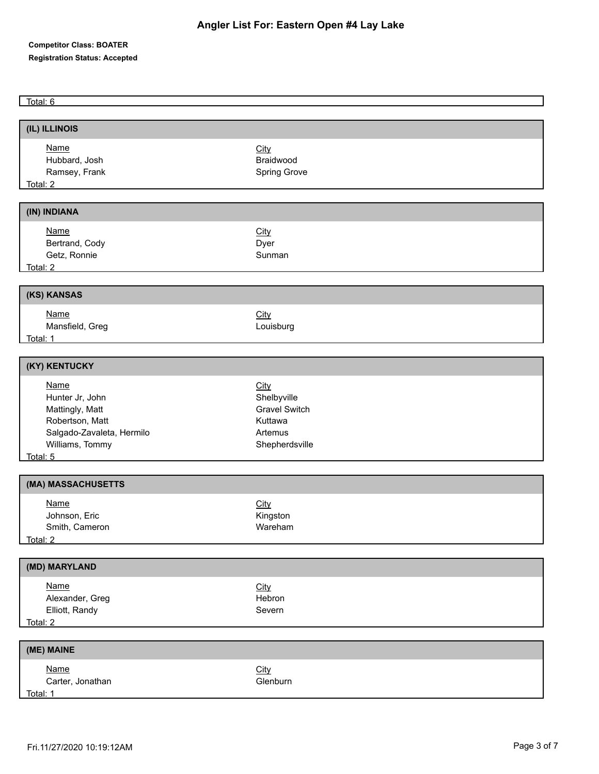## **Competitor Class: BOATER Registration Status: Accepted**

Total: 6

| (IL) ILLINOIS                                                                                                                                                                                                                        |                         |
|--------------------------------------------------------------------------------------------------------------------------------------------------------------------------------------------------------------------------------------|-------------------------|
|                                                                                                                                                                                                                                      |                         |
| <b>Name</b><br>Hubbard, Josh                                                                                                                                                                                                         | City<br>Braidwood       |
| Ramsey, Frank                                                                                                                                                                                                                        | Spring Grove            |
| <u>Total: 2 and 2 and 2 and 2 and 2 and 2 and 2 and 2 and 2 and 2 and 2 and 2 and 2 and 2 and 2 and 2 and 2 and 2 and 2 and 2 and 2 and 2 and 2 and 2 and 2 and 2 and 2 and 2 and 2 and 2 and 2 and 2 and 2 and 2 and 2 and 2 an</u> |                         |
|                                                                                                                                                                                                                                      |                         |
| (IN) INDIANA                                                                                                                                                                                                                         |                         |
| <b>Name</b>                                                                                                                                                                                                                          | <b>City</b>             |
| Bertrand, Cody                                                                                                                                                                                                                       | Dyer                    |
| Getz, Ronnie                                                                                                                                                                                                                         | Sunman                  |
| Total: 2                                                                                                                                                                                                                             |                         |
|                                                                                                                                                                                                                                      |                         |
| (KS) KANSAS                                                                                                                                                                                                                          |                         |
| <b>Name</b>                                                                                                                                                                                                                          | City                    |
| Mansfield, Greg                                                                                                                                                                                                                      | Louisburg               |
| Total: 1 and 1 and 1 and 1 and 1 and 1 and 1 and 1 and 1 and 1 and 1 and 1 and 1 and 1 and 1 and 1 and 1 and 1                                                                                                                       |                         |
|                                                                                                                                                                                                                                      |                         |
| (KY) KENTUCKY                                                                                                                                                                                                                        |                         |
| <b>Name</b>                                                                                                                                                                                                                          | City                    |
| Hunter Jr, John                                                                                                                                                                                                                      | Shelbyville             |
| Mattingly, Matt                                                                                                                                                                                                                      | <b>Gravel Switch</b>    |
| Robertson, Matt                                                                                                                                                                                                                      | Kuttawa                 |
| Salgado-Zavaleta, Hermilo                                                                                                                                                                                                            | Artemus                 |
| Williams, Tommy                                                                                                                                                                                                                      | Shepherdsville          |
| Total: 5                                                                                                                                                                                                                             |                         |
| (MA) MASSACHUSETTS                                                                                                                                                                                                                   |                         |
| <b>Name</b>                                                                                                                                                                                                                          |                         |
| Johnson, Eric                                                                                                                                                                                                                        | <b>City</b><br>Kingston |
| Smith, Cameron                                                                                                                                                                                                                       | Wareham                 |
| Total: 2                                                                                                                                                                                                                             |                         |
|                                                                                                                                                                                                                                      |                         |
| (MD) MARYLAND                                                                                                                                                                                                                        |                         |
| <b>Name</b>                                                                                                                                                                                                                          | City                    |
| Alexander, Greg                                                                                                                                                                                                                      | Hebron                  |
| Elliott, Randy                                                                                                                                                                                                                       | Severn                  |
| Total: 2                                                                                                                                                                                                                             |                         |
| (ME) MAINE                                                                                                                                                                                                                           |                         |
|                                                                                                                                                                                                                                      |                         |
| <b>Name</b>                                                                                                                                                                                                                          | City                    |
| Carter, Jonathan                                                                                                                                                                                                                     | Glenburn                |
| Total: 1                                                                                                                                                                                                                             |                         |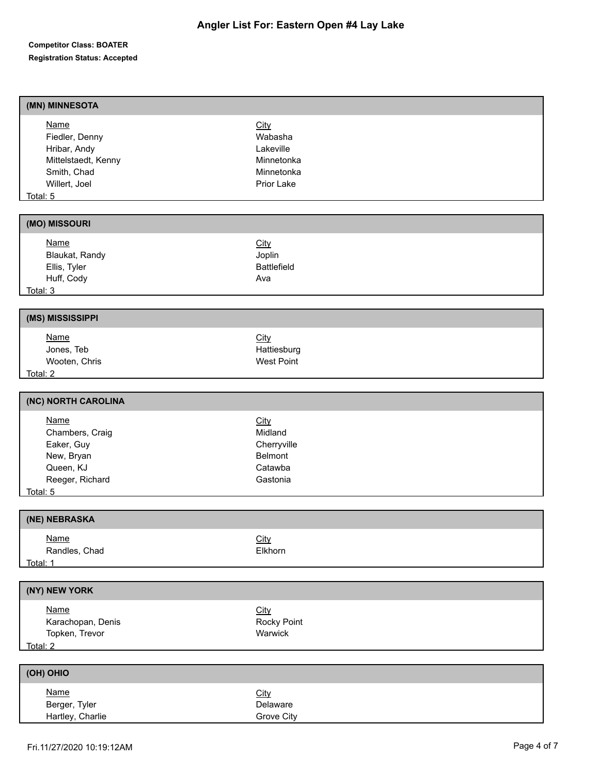## **Competitor Class: BOATER Registration Status: Accepted**

| (MN) MINNESOTA                                                                                                   |                                                                        |
|------------------------------------------------------------------------------------------------------------------|------------------------------------------------------------------------|
| <b>Name</b><br>Fiedler, Denny<br>Hribar, Andy<br>Mittelstaedt, Kenny<br>Smith, Chad<br>Willert, Joel<br>Total: 5 | City<br>Wabasha<br>Lakeville<br>Minnetonka<br>Minnetonka<br>Prior Lake |
| (MO) MISSOURI                                                                                                    |                                                                        |
| <b>Name</b><br>Blaukat, Randy<br>Ellis, Tyler<br>Huff, Cody<br>Total: 3                                          | City<br>Joplin<br><b>Battlefield</b><br>Ava                            |
| (MS) MISSISSIPPI                                                                                                 |                                                                        |
| <b>Name</b><br>Jones, Teb<br>Wooten, Chris<br>Total: 2                                                           | City<br>Hattiesburg<br><b>West Point</b>                               |
| (NC) NORTH CAROLINA                                                                                              |                                                                        |
| <b>Name</b><br>Chambers, Craig<br>Eaker, Guy<br>New, Bryan<br>Queen, KJ<br>Reeger, Richard<br>Total: 5           | City<br>Midland<br>Cherryville<br>Belmont<br>Catawba<br>Gastonia       |
| (NE) NEBRASKA                                                                                                    |                                                                        |
| <b>Name</b><br>Randles, Chad<br>Total: 1                                                                         | <b>City</b><br>Elkhorn                                                 |
| (NY) NEW YORK                                                                                                    |                                                                        |
| <b>Name</b><br>Karachopan, Denis<br>Topken, Trevor<br>Total: 2                                                   | <b>City</b><br>Rocky Point<br>Warwick                                  |
| (OH) OHIO                                                                                                        |                                                                        |
| <b>Name</b><br>Berger, Tyler<br>Hartley, Charlie                                                                 | City<br>Delaware<br>Grove City                                         |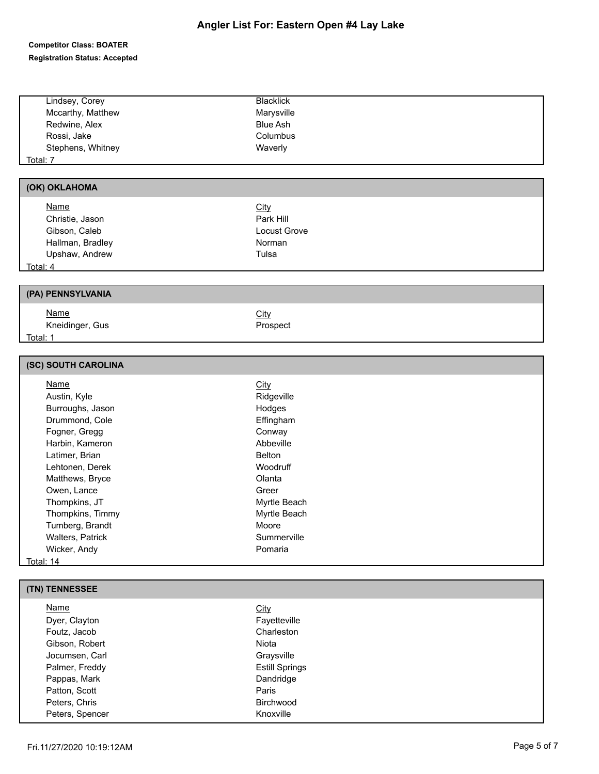#### **Competitor Class: BOATER Registration Status: Accepted**

| Lindsey, Corey    | <b>Blacklick</b> |  |
|-------------------|------------------|--|
| Mccarthy, Matthew | Marysville       |  |
| Redwine, Alex     | <b>Blue Ash</b>  |  |
| Rossi, Jake       | Columbus         |  |
| Stephens, Whitney | Waverly          |  |
| Total: 7          |                  |  |

# **(OK) OKLAHOMA**

| <b>Name</b>      | <u>City</u>  |  |
|------------------|--------------|--|
| Christie, Jason  | Park Hill    |  |
| Gibson, Caleb    | Locust Grove |  |
| Hallman, Bradley | Norman       |  |
| Upshaw, Andrew   | Tulsa        |  |
| Total: 4         |              |  |

Prospect

# **(PA) PENNSYLVANIA**

| Name            | <u>City</u> |
|-----------------|-------------|
| Kneidinger, Gus | Pro:        |
| Total: 1        |             |

#### **(SC) SOUTH CAROLINA**

| <b>Name</b>             | <b>City</b>   |  |
|-------------------------|---------------|--|
| Austin, Kyle            | Ridgeville    |  |
| Burroughs, Jason        | Hodges        |  |
| Drummond, Cole          | Effingham     |  |
| Fogner, Gregg           | Conway        |  |
| Harbin, Kameron         | Abbeville     |  |
| Latimer, Brian          | <b>Belton</b> |  |
| Lehtonen, Derek         | Woodruff      |  |
| Matthews, Bryce         | Olanta        |  |
| Owen, Lance             | Greer         |  |
| Thompkins, JT           | Myrtle Beach  |  |
| Thompkins, Timmy        | Myrtle Beach  |  |
| Tumberg, Brandt         | Moore         |  |
| <b>Walters, Patrick</b> | Summerville   |  |
| Wicker, Andy            | Pomaria       |  |
| Total: 14               |               |  |

#### **(TN) TENNESSEE**

| Name            | <u>City</u>           |  |
|-----------------|-----------------------|--|
| Dyer, Clayton   | Fayetteville          |  |
| Foutz, Jacob    | Charleston            |  |
| Gibson, Robert  | Niota                 |  |
| Jocumsen, Carl  | Graysville            |  |
| Palmer, Freddy  | <b>Estill Springs</b> |  |
| Pappas, Mark    | Dandridge             |  |
| Patton, Scott   | Paris                 |  |
| Peters, Chris   | <b>Birchwood</b>      |  |
| Peters, Spencer | Knoxville             |  |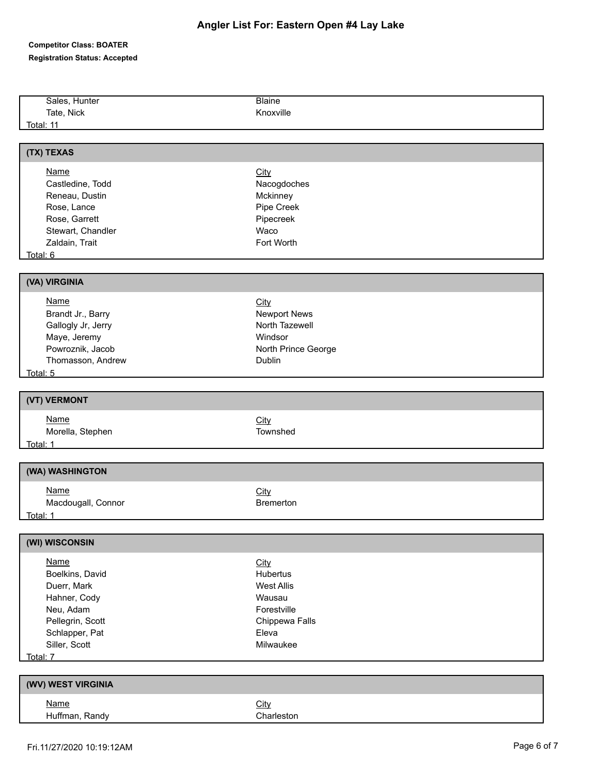## **Competitor Class: BOATER Registration Status: Accepted**

| Sales, Hunter      | <b>Blaine</b>       |  |
|--------------------|---------------------|--|
| Tate, Nick         | Knoxville           |  |
| <b>Total: 11</b>   |                     |  |
|                    |                     |  |
| (TX) TEXAS         |                     |  |
| <b>Name</b>        | <b>City</b>         |  |
| Castledine, Todd   | Nacogdoches         |  |
| Reneau, Dustin     | Mckinney            |  |
| Rose, Lance        | Pipe Creek          |  |
| Rose, Garrett      | Pipecreek           |  |
| Stewart, Chandler  | Waco                |  |
| Zaldain, Trait     | Fort Worth          |  |
| Total: 6           |                     |  |
|                    |                     |  |
| (VA) VIRGINIA      |                     |  |
| <b>Name</b>        | City                |  |
| Brandt Jr., Barry  | <b>Newport News</b> |  |
| Gallogly Jr, Jerry | North Tazewell      |  |
| Maye, Jeremy       | Windsor             |  |
| Powroznik, Jacob   | North Prince George |  |
| Thomasson, Andrew  | Dublin              |  |
| Total: 5           |                     |  |
|                    |                     |  |
| (VT) VERMONT       |                     |  |
| <b>Name</b>        | City                |  |
| Morella, Stephen   | Townshed            |  |
| Total: 1           |                     |  |
|                    |                     |  |
| (WA) WASHINGTON    |                     |  |
| <b>Name</b>        | City                |  |
| Macdougall, Connor | <b>Bremerton</b>    |  |
| <u>Total: 1</u>    |                     |  |
|                    |                     |  |
| (WI) WISCONSIN     |                     |  |
| <b>Name</b>        | <b>City</b>         |  |
| Boelkins, David    | Hubertus            |  |
| Duerr, Mark        | <b>West Allis</b>   |  |
| Hahner, Cody       | Wausau              |  |
| Neu, Adam          | Forestville         |  |
| Pellegrin, Scott   | Chippewa Falls      |  |
| Schlapper, Pat     | Eleva               |  |
| Siller, Scott      | Milwaukee           |  |
| Total: 7           |                     |  |
|                    |                     |  |
| (WV) WEST VIRGINIA |                     |  |
| <b>Name</b>        | City                |  |
| Huffman, Randy     | Charleston          |  |